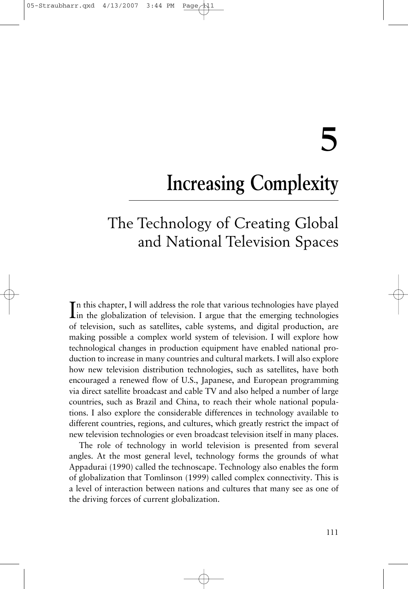# **5**

# **Increasing Complexity**

## The Technology of Creating Global and National Television Spaces

In this chapter, I will address the role that various technologies have played in the globalization of television. I argue that the emerging technologies n this chapter, I will address the role that various technologies have played of television, such as satellites, cable systems, and digital production, are making possible a complex world system of television. I will explore how technological changes in production equipment have enabled national production to increase in many countries and cultural markets. I will also explore how new television distribution technologies, such as satellites, have both encouraged a renewed flow of U.S., Japanese, and European programming via direct satellite broadcast and cable TV and also helped a number of large countries, such as Brazil and China, to reach their whole national populations. I also explore the considerable differences in technology available to different countries, regions, and cultures, which greatly restrict the impact of new television technologies or even broadcast television itself in many places.

The role of technology in world television is presented from several angles. At the most general level, technology forms the grounds of what Appadurai (1990) called the technoscape. Technology also enables the form of globalization that Tomlinson (1999) called complex connectivity. This is a level of interaction between nations and cultures that many see as one of the driving forces of current globalization.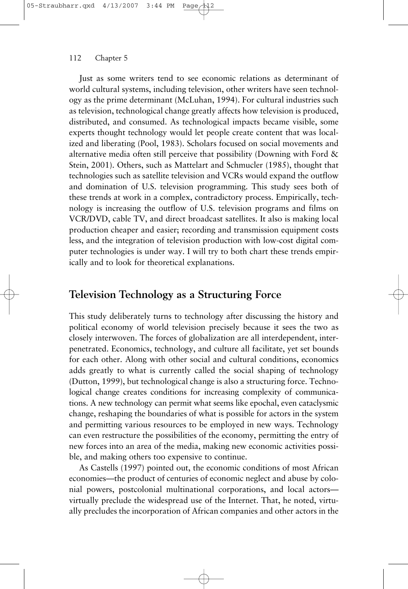Just as some writers tend to see economic relations as determinant of world cultural systems, including television, other writers have seen technology as the prime determinant (McLuhan, 1994). For cultural industries such as television, technological change greatly affects how television is produced, distributed, and consumed. As technological impacts became visible, some experts thought technology would let people create content that was localized and liberating (Pool, 1983). Scholars focused on social movements and alternative media often still perceive that possibility (Downing with Ford & Stein, 2001). Others, such as Mattelart and Schmucler (1985), thought that technologies such as satellite television and VCRs would expand the outflow and domination of U.S. television programming. This study sees both of these trends at work in a complex, contradictory process. Empirically, technology is increasing the outflow of U.S. television programs and films on VCR/DVD, cable TV, and direct broadcast satellites. It also is making local production cheaper and easier; recording and transmission equipment costs less, and the integration of television production with low-cost digital computer technologies is under way. I will try to both chart these trends empirically and to look for theoretical explanations.

## **Television Technology as a Structuring Force**

This study deliberately turns to technology after discussing the history and political economy of world television precisely because it sees the two as closely interwoven. The forces of globalization are all interdependent, interpenetrated. Economics, technology, and culture all facilitate, yet set bounds for each other. Along with other social and cultural conditions, economics adds greatly to what is currently called the social shaping of technology (Dutton, 1999), but technological change is also a structuring force. Technological change creates conditions for increasing complexity of communications. A new technology can permit what seems like epochal, even cataclysmic change, reshaping the boundaries of what is possible for actors in the system and permitting various resources to be employed in new ways. Technology can even restructure the possibilities of the economy, permitting the entry of new forces into an area of the media, making new economic activities possible, and making others too expensive to continue.

As Castells (1997) pointed out, the economic conditions of most African economies—the product of centuries of economic neglect and abuse by colonial powers, postcolonial multinational corporations, and local actors virtually preclude the widespread use of the Internet. That, he noted, virtually precludes the incorporation of African companies and other actors in the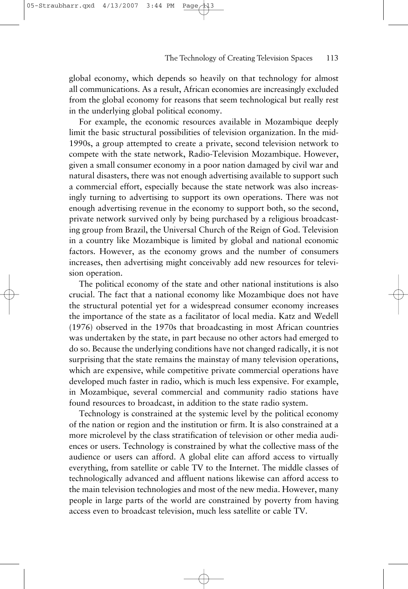global economy, which depends so heavily on that technology for almost all communications. As a result, African economies are increasingly excluded from the global economy for reasons that seem technological but really rest in the underlying global political economy.

4/13/2007

For example, the economic resources available in Mozambique deeply limit the basic structural possibilities of television organization. In the mid-1990s, a group attempted to create a private, second television network to compete with the state network, Radio-Television Mozambique. However, given a small consumer economy in a poor nation damaged by civil war and natural disasters, there was not enough advertising available to support such a commercial effort, especially because the state network was also increasingly turning to advertising to support its own operations. There was not enough advertising revenue in the economy to support both, so the second, private network survived only by being purchased by a religious broadcasting group from Brazil, the Universal Church of the Reign of God. Television in a country like Mozambique is limited by global and national economic factors. However, as the economy grows and the number of consumers increases, then advertising might conceivably add new resources for television operation.

The political economy of the state and other national institutions is also crucial. The fact that a national economy like Mozambique does not have the structural potential yet for a widespread consumer economy increases the importance of the state as a facilitator of local media. Katz and Wedell (1976) observed in the 1970s that broadcasting in most African countries was undertaken by the state, in part because no other actors had emerged to do so. Because the underlying conditions have not changed radically, it is not surprising that the state remains the mainstay of many television operations, which are expensive, while competitive private commercial operations have developed much faster in radio, which is much less expensive. For example, in Mozambique, several commercial and community radio stations have found resources to broadcast, in addition to the state radio system.

Technology is constrained at the systemic level by the political economy of the nation or region and the institution or firm. It is also constrained at a more microlevel by the class stratification of television or other media audiences or users. Technology is constrained by what the collective mass of the audience or users can afford. A global elite can afford access to virtually everything, from satellite or cable TV to the Internet. The middle classes of technologically advanced and affluent nations likewise can afford access to the main television technologies and most of the new media. However, many people in large parts of the world are constrained by poverty from having access even to broadcast television, much less satellite or cable TV.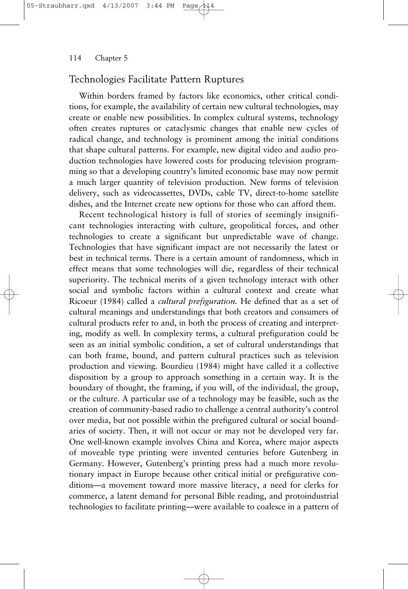## Technologies Facilitate Pattern Ruptures

Within borders framed by factors like economics, other critical conditions, for example, the availability of certain new cultural technologies, may create or enable new possibilities. In complex cultural systems, technology often creates ruptures or cataclysmic changes that enable new cycles of radical change, and technology is prominent among the initial conditions that shape cultural patterns. For example, new digital video and audio production technologies have lowered costs for producing television programming so that a developing country's limited economic base may now permit a much larger quantity of television production. New forms of television delivery, such as videocassettes, DVDs, cable TV, direct-to-home satellite dishes, and the Internet create new options for those who can afford them.

Recent technological history is full of stories of seemingly insignificant technologies interacting with culture, geopolitical forces, and other technologies to create a significant but unpredictable wave of change. Technologies that have significant impact are not necessarily the latest or best in technical terms. There is a certain amount of randomness, which in effect means that some technologies will die, regardless of their technical superiority. The technical merits of a given technology interact with other social and symbolic factors within a cultural context and create what Ricoeur (1984) called a *cultural prefiguration.* He defined that as a set of cultural meanings and understandings that both creators and consumers of cultural products refer to and, in both the process of creating and interpreting, modify as well. In complexity terms, a cultural prefiguration could be seen as an initial symbolic condition, a set of cultural understandings that can both frame, bound, and pattern cultural practices such as television production and viewing. Bourdieu (1984) might have called it a collective disposition by a group to approach something in a certain way. It is the boundary of thought, the framing, if you will, of the individual, the group, or the culture. A particular use of a technology may be feasible, such as the creation of community-based radio to challenge a central authority's control over media, but not possible within the prefigured cultural or social boundaries of society. Then, it will not occur or may not be developed very far. One well-known example involves China and Korea, where major aspects of moveable type printing were invented centuries before Gutenberg in Germany. However, Gutenberg's printing press had a much more revolutionary impact in Europe because other critical initial or prefigurative conditions—a movement toward more massive literacy, a need for clerks for commerce, a latent demand for personal Bible reading, and protoindustrial technologies to facilitate printing—were available to coalesce in a pattern of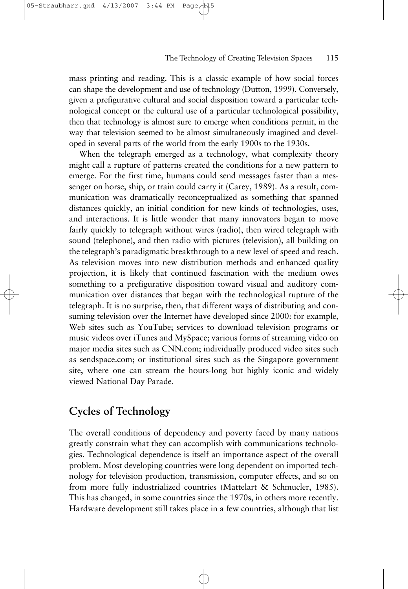mass printing and reading. This is a classic example of how social forces can shape the development and use of technology (Dutton, 1999). Conversely, given a prefigurative cultural and social disposition toward a particular technological concept or the cultural use of a particular technological possibility, then that technology is almost sure to emerge when conditions permit, in the way that television seemed to be almost simultaneously imagined and developed in several parts of the world from the early 1900s to the 1930s.

When the telegraph emerged as a technology, what complexity theory might call a rupture of patterns created the conditions for a new pattern to emerge. For the first time, humans could send messages faster than a messenger on horse, ship, or train could carry it (Carey, 1989). As a result, communication was dramatically reconceptualized as something that spanned distances quickly, an initial condition for new kinds of technologies, uses, and interactions. It is little wonder that many innovators began to move fairly quickly to telegraph without wires (radio), then wired telegraph with sound (telephone), and then radio with pictures (television), all building on the telegraph's paradigmatic breakthrough to a new level of speed and reach. As television moves into new distribution methods and enhanced quality projection, it is likely that continued fascination with the medium owes something to a prefigurative disposition toward visual and auditory communication over distances that began with the technological rupture of the telegraph. It is no surprise, then, that different ways of distributing and consuming television over the Internet have developed since 2000: for example, Web sites such as YouTube; services to download television programs or music videos over iTunes and MySpace; various forms of streaming video on major media sites such as CNN.com; individually produced video sites such as sendspace.com; or institutional sites such as the Singapore government site, where one can stream the hours-long but highly iconic and widely viewed National Day Parade.

## **Cycles of Technology**

4/13/2007

The overall conditions of dependency and poverty faced by many nations greatly constrain what they can accomplish with communications technologies. Technological dependence is itself an importance aspect of the overall problem. Most developing countries were long dependent on imported technology for television production, transmission, computer effects, and so on from more fully industrialized countries (Mattelart & Schmucler, 1985). This has changed, in some countries since the 1970s, in others more recently. Hardware development still takes place in a few countries, although that list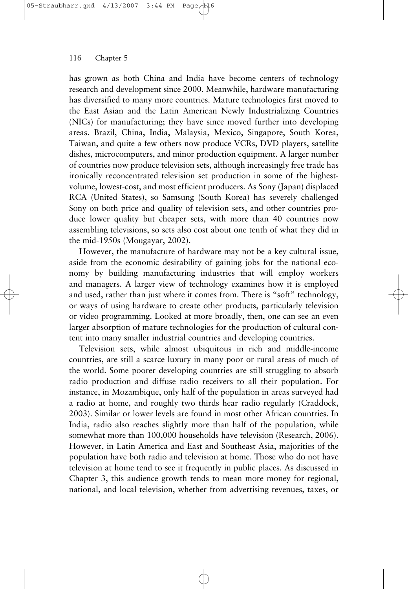has grown as both China and India have become centers of technology research and development since 2000. Meanwhile, hardware manufacturing has diversified to many more countries. Mature technologies first moved to the East Asian and the Latin American Newly Industrializing Countries (NICs) for manufacturing; they have since moved further into developing areas. Brazil, China, India, Malaysia, Mexico, Singapore, South Korea, Taiwan, and quite a few others now produce VCRs, DVD players, satellite dishes, microcomputers, and minor production equipment. A larger number of countries now produce television sets, although increasingly free trade has ironically reconcentrated television set production in some of the highestvolume, lowest-cost, and most efficient producers. As Sony (Japan) displaced RCA (United States), so Samsung (South Korea) has severely challenged Sony on both price and quality of television sets, and other countries produce lower quality but cheaper sets, with more than 40 countries now assembling televisions, so sets also cost about one tenth of what they did in the mid-1950s (Mougayar, 2002).

However, the manufacture of hardware may not be a key cultural issue, aside from the economic desirability of gaining jobs for the national economy by building manufacturing industries that will employ workers and managers. A larger view of technology examines how it is employed and used, rather than just where it comes from. There is "soft" technology, or ways of using hardware to create other products, particularly television or video programming. Looked at more broadly, then, one can see an even larger absorption of mature technologies for the production of cultural content into many smaller industrial countries and developing countries.

Television sets, while almost ubiquitous in rich and middle-income countries, are still a scarce luxury in many poor or rural areas of much of the world. Some poorer developing countries are still struggling to absorb radio production and diffuse radio receivers to all their population. For instance, in Mozambique, only half of the population in areas surveyed had a radio at home, and roughly two thirds hear radio regularly (Craddock, 2003). Similar or lower levels are found in most other African countries. In India, radio also reaches slightly more than half of the population, while somewhat more than 100,000 households have television (Research, 2006). However, in Latin America and East and Southeast Asia, majorities of the population have both radio and television at home. Those who do not have television at home tend to see it frequently in public places. As discussed in Chapter 3, this audience growth tends to mean more money for regional, national, and local television, whether from advertising revenues, taxes, or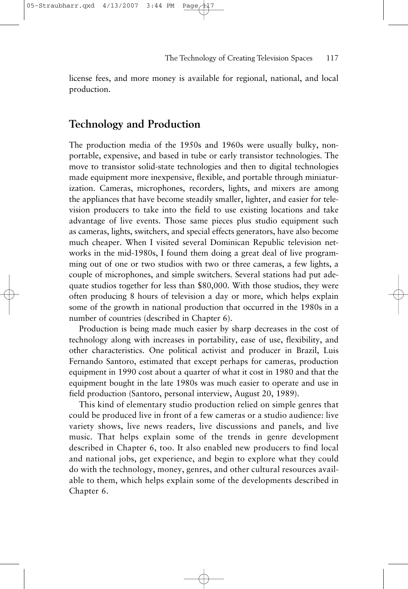license fees, and more money is available for regional, national, and local production.

## **Technology and Production**

4/13/2007

The production media of the 1950s and 1960s were usually bulky, nonportable, expensive, and based in tube or early transistor technologies. The move to transistor solid-state technologies and then to digital technologies made equipment more inexpensive, flexible, and portable through miniaturization. Cameras, microphones, recorders, lights, and mixers are among the appliances that have become steadily smaller, lighter, and easier for television producers to take into the field to use existing locations and take advantage of live events. Those same pieces plus studio equipment such as cameras, lights, switchers, and special effects generators, have also become much cheaper. When I visited several Dominican Republic television networks in the mid-1980s, I found them doing a great deal of live programming out of one or two studios with two or three cameras, a few lights, a couple of microphones, and simple switchers. Several stations had put adequate studios together for less than \$80,000. With those studios, they were often producing 8 hours of television a day or more, which helps explain some of the growth in national production that occurred in the 1980s in a number of countries (described in Chapter 6).

Production is being made much easier by sharp decreases in the cost of technology along with increases in portability, ease of use, flexibility, and other characteristics. One political activist and producer in Brazil, Luis Fernando Santoro, estimated that except perhaps for cameras, production equipment in 1990 cost about a quarter of what it cost in 1980 and that the equipment bought in the late 1980s was much easier to operate and use in field production (Santoro, personal interview, August 20, 1989).

This kind of elementary studio production relied on simple genres that could be produced live in front of a few cameras or a studio audience: live variety shows, live news readers, live discussions and panels, and live music. That helps explain some of the trends in genre development described in Chapter 6, too. It also enabled new producers to find local and national jobs, get experience, and begin to explore what they could do with the technology, money, genres, and other cultural resources available to them, which helps explain some of the developments described in Chapter 6.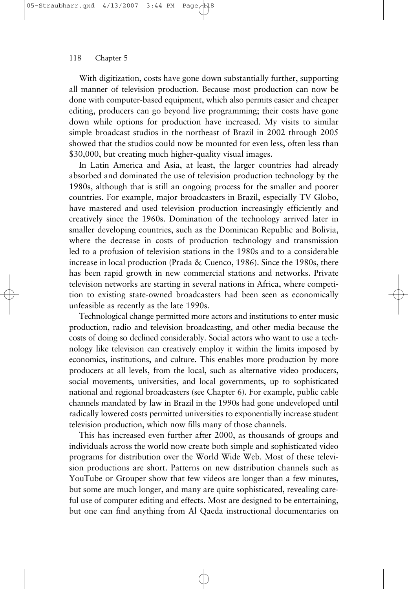With digitization, costs have gone down substantially further, supporting all manner of television production. Because most production can now be done with computer-based equipment, which also permits easier and cheaper editing, producers can go beyond live programming; their costs have gone down while options for production have increased. My visits to similar simple broadcast studios in the northeast of Brazil in 2002 through 2005 showed that the studios could now be mounted for even less, often less than \$30,000, but creating much higher-quality visual images.

In Latin America and Asia, at least, the larger countries had already absorbed and dominated the use of television production technology by the 1980s, although that is still an ongoing process for the smaller and poorer countries. For example, major broadcasters in Brazil, especially TV Globo, have mastered and used television production increasingly efficiently and creatively since the 1960s. Domination of the technology arrived later in smaller developing countries, such as the Dominican Republic and Bolivia, where the decrease in costs of production technology and transmission led to a profusion of television stations in the 1980s and to a considerable increase in local production (Prada & Cuenco, 1986). Since the 1980s, there has been rapid growth in new commercial stations and networks. Private television networks are starting in several nations in Africa, where competition to existing state-owned broadcasters had been seen as economically unfeasible as recently as the late 1990s.

Technological change permitted more actors and institutions to enter music production, radio and television broadcasting, and other media because the costs of doing so declined considerably. Social actors who want to use a technology like television can creatively employ it within the limits imposed by economics, institutions, and culture. This enables more production by more producers at all levels, from the local, such as alternative video producers, social movements, universities, and local governments, up to sophisticated national and regional broadcasters (see Chapter 6). For example, public cable channels mandated by law in Brazil in the 1990s had gone undeveloped until radically lowered costs permitted universities to exponentially increase student television production, which now fills many of those channels.

This has increased even further after 2000, as thousands of groups and individuals across the world now create both simple and sophisticated video programs for distribution over the World Wide Web. Most of these television productions are short. Patterns on new distribution channels such as YouTube or Grouper show that few videos are longer than a few minutes, but some are much longer, and many are quite sophisticated, revealing careful use of computer editing and effects. Most are designed to be entertaining, but one can find anything from Al Qaeda instructional documentaries on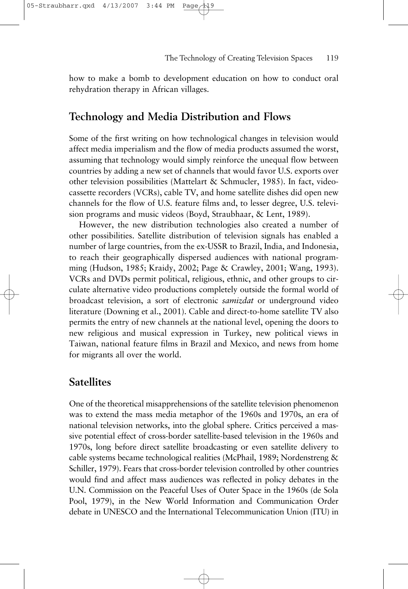how to make a bomb to development education on how to conduct oral rehydration therapy in African villages.

## **Technology and Media Distribution and Flows**

Some of the first writing on how technological changes in television would affect media imperialism and the flow of media products assumed the worst, assuming that technology would simply reinforce the unequal flow between countries by adding a new set of channels that would favor U.S. exports over other television possibilities (Mattelart & Schmucler, 1985). In fact, videocassette recorders (VCRs), cable TV, and home satellite dishes did open new channels for the flow of U.S. feature films and, to lesser degree, U.S. television programs and music videos (Boyd, Straubhaar, & Lent, 1989).

However, the new distribution technologies also created a number of other possibilities. Satellite distribution of television signals has enabled a number of large countries, from the ex-USSR to Brazil, India, and Indonesia, to reach their geographically dispersed audiences with national programming (Hudson, 1985; Kraidy, 2002; Page & Crawley, 2001; Wang, 1993). VCRs and DVDs permit political, religious, ethnic, and other groups to circulate alternative video productions completely outside the formal world of broadcast television, a sort of electronic *samizdat* or underground video literature (Downing et al., 2001). Cable and direct-to-home satellite TV also permits the entry of new channels at the national level, opening the doors to new religious and musical expression in Turkey, new political views in Taiwan, national feature films in Brazil and Mexico, and news from home for migrants all over the world.

## **Satellites**

One of the theoretical misapprehensions of the satellite television phenomenon was to extend the mass media metaphor of the 1960s and 1970s, an era of national television networks, into the global sphere. Critics perceived a massive potential effect of cross-border satellite-based television in the 1960s and 1970s, long before direct satellite broadcasting or even satellite delivery to cable systems became technological realities (McPhail, 1989; Nordenstreng & Schiller, 1979). Fears that cross-border television controlled by other countries would find and affect mass audiences was reflected in policy debates in the U.N. Commission on the Peaceful Uses of Outer Space in the 1960s (de Sola Pool, 1979), in the New World Information and Communication Order debate in UNESCO and the International Telecommunication Union (ITU) in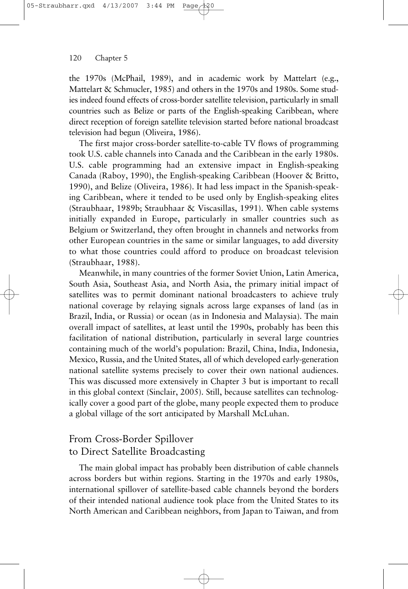the 1970s (McPhail, 1989), and in academic work by Mattelart (e.g., Mattelart & Schmucler, 1985) and others in the 1970s and 1980s. Some studies indeed found effects of cross-border satellite television, particularly in small countries such as Belize or parts of the English-speaking Caribbean, where direct reception of foreign satellite television started before national broadcast television had begun (Oliveira, 1986).

The first major cross-border satellite-to-cable TV flows of programming took U.S. cable channels into Canada and the Caribbean in the early 1980s. U.S. cable programming had an extensive impact in English-speaking Canada (Raboy, 1990), the English-speaking Caribbean (Hoover & Britto, 1990), and Belize (Oliveira, 1986). It had less impact in the Spanish-speaking Caribbean, where it tended to be used only by English-speaking elites (Straubhaar, 1989b; Straubhaar & Viscasillas, 1991). When cable systems initially expanded in Europe, particularly in smaller countries such as Belgium or Switzerland, they often brought in channels and networks from other European countries in the same or similar languages, to add diversity to what those countries could afford to produce on broadcast television (Straubhaar, 1988).

Meanwhile, in many countries of the former Soviet Union, Latin America, South Asia, Southeast Asia, and North Asia, the primary initial impact of satellites was to permit dominant national broadcasters to achieve truly national coverage by relaying signals across large expanses of land (as in Brazil, India, or Russia) or ocean (as in Indonesia and Malaysia). The main overall impact of satellites, at least until the 1990s, probably has been this facilitation of national distribution, particularly in several large countries containing much of the world's population: Brazil, China, India, Indonesia, Mexico, Russia, and the United States, all of which developed early-generation national satellite systems precisely to cover their own national audiences. This was discussed more extensively in Chapter 3 but is important to recall in this global context (Sinclair, 2005). Still, because satellites can technologically cover a good part of the globe, many people expected them to produce a global village of the sort anticipated by Marshall McLuhan.

## From Cross-Border Spillover to Direct Satellite Broadcasting

The main global impact has probably been distribution of cable channels across borders but within regions. Starting in the 1970s and early 1980s, international spillover of satellite-based cable channels beyond the borders of their intended national audience took place from the United States to its North American and Caribbean neighbors, from Japan to Taiwan, and from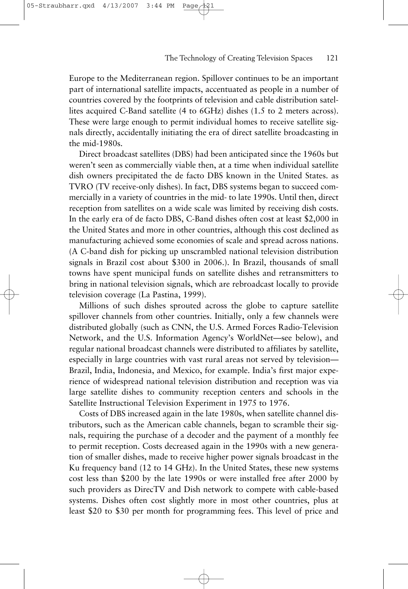#### The Technology of Creating Television Spaces 121

Europe to the Mediterranean region. Spillover continues to be an important part of international satellite impacts, accentuated as people in a number of countries covered by the footprints of television and cable distribution satellites acquired C-Band satellite (4 to 6GHz) dishes (1.5 to 2 meters across). These were large enough to permit individual homes to receive satellite signals directly, accidentally initiating the era of direct satellite broadcasting in the mid-1980s.

05-Straubharr.qxd 4/13/2007 3:44 PM Page 121

Direct broadcast satellites (DBS) had been anticipated since the 1960s but weren't seen as commercially viable then, at a time when individual satellite dish owners precipitated the de facto DBS known in the United States. as TVRO (TV receive-only dishes). In fact, DBS systems began to succeed commercially in a variety of countries in the mid- to late 1990s. Until then, direct reception from satellites on a wide scale was limited by receiving dish costs. In the early era of de facto DBS, C-Band dishes often cost at least \$2,000 in the United States and more in other countries, although this cost declined as manufacturing achieved some economies of scale and spread across nations. (A C-band dish for picking up unscrambled national television distribution signals in Brazil cost about \$300 in 2006.). In Brazil, thousands of small towns have spent municipal funds on satellite dishes and retransmitters to bring in national television signals, which are rebroadcast locally to provide television coverage (La Pastina, 1999).

Millions of such dishes sprouted across the globe to capture satellite spillover channels from other countries. Initially, only a few channels were distributed globally (such as CNN, the U.S. Armed Forces Radio-Television Network, and the U.S. Information Agency's WorldNet—see below), and regular national broadcast channels were distributed to affiliates by satellite, especially in large countries with vast rural areas not served by television— Brazil, India, Indonesia, and Mexico, for example. India's first major experience of widespread national television distribution and reception was via large satellite dishes to community reception centers and schools in the Satellite Instructional Television Experiment in 1975 to 1976.

Costs of DBS increased again in the late 1980s, when satellite channel distributors, such as the American cable channels, began to scramble their signals, requiring the purchase of a decoder and the payment of a monthly fee to permit reception. Costs decreased again in the 1990s with a new generation of smaller dishes, made to receive higher power signals broadcast in the Ku frequency band (12 to 14 GHz). In the United States, these new systems cost less than \$200 by the late 1990s or were installed free after 2000 by such providers as DirecTV and Dish network to compete with cable-based systems. Dishes often cost slightly more in most other countries, plus at least \$20 to \$30 per month for programming fees. This level of price and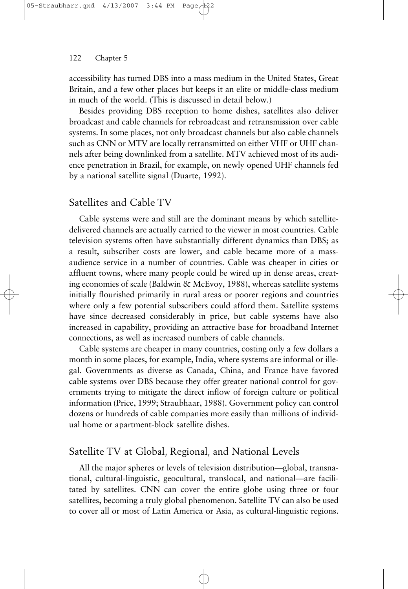accessibility has turned DBS into a mass medium in the United States, Great Britain, and a few other places but keeps it an elite or middle-class medium in much of the world. (This is discussed in detail below.)

Besides providing DBS reception to home dishes, satellites also deliver broadcast and cable channels for rebroadcast and retransmission over cable systems. In some places, not only broadcast channels but also cable channels such as CNN or MTV are locally retransmitted on either VHF or UHF channels after being downlinked from a satellite. MTV achieved most of its audience penetration in Brazil, for example, on newly opened UHF channels fed by a national satellite signal (Duarte, 1992).

## Satellites and Cable TV

Cable systems were and still are the dominant means by which satellitedelivered channels are actually carried to the viewer in most countries. Cable television systems often have substantially different dynamics than DBS; as a result, subscriber costs are lower, and cable became more of a massaudience service in a number of countries. Cable was cheaper in cities or affluent towns, where many people could be wired up in dense areas, creating economies of scale (Baldwin & McEvoy, 1988), whereas satellite systems initially flourished primarily in rural areas or poorer regions and countries where only a few potential subscribers could afford them. Satellite systems have since decreased considerably in price, but cable systems have also increased in capability, providing an attractive base for broadband Internet connections, as well as increased numbers of cable channels.

Cable systems are cheaper in many countries, costing only a few dollars a month in some places, for example, India, where systems are informal or illegal. Governments as diverse as Canada, China, and France have favored cable systems over DBS because they offer greater national control for governments trying to mitigate the direct inflow of foreign culture or political information (Price, 1999; Straubhaar, 1988). Government policy can control dozens or hundreds of cable companies more easily than millions of individual home or apartment-block satellite dishes.

#### Satellite TV at Global, Regional, and National Levels

All the major spheres or levels of television distribution—global, transnational, cultural-linguistic, geocultural, translocal, and national—are facilitated by satellites. CNN can cover the entire globe using three or four satellites, becoming a truly global phenomenon. Satellite TV can also be used to cover all or most of Latin America or Asia, as cultural-linguistic regions.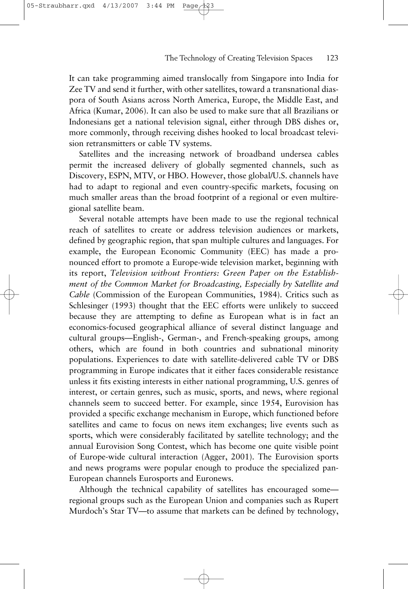It can take programming aimed translocally from Singapore into India for Zee TV and send it further, with other satellites, toward a transnational diaspora of South Asians across North America, Europe, the Middle East, and Africa (Kumar, 2006). It can also be used to make sure that all Brazilians or Indonesians get a national television signal, either through DBS dishes or, more commonly, through receiving dishes hooked to local broadcast television retransmitters or cable TV systems.

05-Straubharr.qxd 4/13/2007 3:44 PM Page 123

Satellites and the increasing network of broadband undersea cables permit the increased delivery of globally segmented channels, such as Discovery, ESPN, MTV, or HBO. However, those global/U.S. channels have had to adapt to regional and even country-specific markets, focusing on much smaller areas than the broad footprint of a regional or even multiregional satellite beam.

Several notable attempts have been made to use the regional technical reach of satellites to create or address television audiences or markets, defined by geographic region, that span multiple cultures and languages. For example, the European Economic Community (EEC) has made a pronounced effort to promote a Europe-wide television market, beginning with its report, *Television without Frontiers: Green Paper on the Establishment of the Common Market for Broadcasting, Especially by Satellite and Cable* (Commission of the European Communities, 1984). Critics such as Schlesinger (1993) thought that the EEC efforts were unlikely to succeed because they are attempting to define as European what is in fact an economics-focused geographical alliance of several distinct language and cultural groups—English-, German-, and French-speaking groups, among others, which are found in both countries and subnational minority populations. Experiences to date with satellite-delivered cable TV or DBS programming in Europe indicates that it either faces considerable resistance unless it fits existing interests in either national programming, U.S. genres of interest, or certain genres, such as music, sports, and news, where regional channels seem to succeed better. For example, since 1954, Eurovision has provided a specific exchange mechanism in Europe, which functioned before satellites and came to focus on news item exchanges; live events such as sports, which were considerably facilitated by satellite technology; and the annual Eurovision Song Contest, which has become one quite visible point of Europe-wide cultural interaction (Agger, 2001). The Eurovision sports and news programs were popular enough to produce the specialized pan-European channels Eurosports and Euronews.

Although the technical capability of satellites has encouraged some regional groups such as the European Union and companies such as Rupert Murdoch's Star TV—to assume that markets can be defined by technology,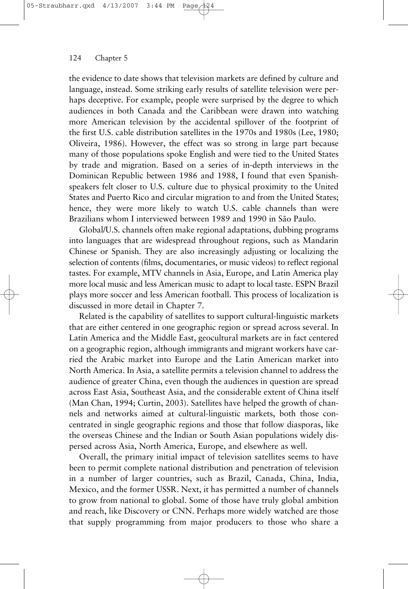the evidence to date shows that television markets are defined by culture and language, instead. Some striking early results of satellite television were perhaps deceptive. For example, people were surprised by the degree to which audiences in both Canada and the Caribbean were drawn into watching more American television by the accidental spillover of the footprint of the first U.S. cable distribution satellites in the 1970s and 1980s (Lee, 1980; Oliveira, 1986). However, the effect was so strong in large part because many of those populations spoke English and were tied to the United States by trade and migration. Based on a series of in-depth interviews in the Dominican Republic between 1986 and 1988, I found that even Spanishspeakers felt closer to U.S. culture due to physical proximity to the United States and Puerto Rico and circular migration to and from the United States; hence, they were more likely to watch U.S. cable channels than were Brazilians whom I interviewed between 1989 and 1990 in São Paulo.

Global/U.S. channels often make regional adaptations, dubbing programs into languages that are widespread throughout regions, such as Mandarin Chinese or Spanish. They are also increasingly adjusting or localizing the selection of contents (films, documentaries, or music videos) to reflect regional tastes. For example, MTV channels in Asia, Europe, and Latin America play more local music and less American music to adapt to local taste. ESPN Brazil plays more soccer and less American football. This process of localization is discussed in more detail in Chapter 7.

Related is the capability of satellites to support cultural-linguistic markets that are either centered in one geographic region or spread across several. In Latin America and the Middle East, geocultural markets are in fact centered on a geographic region, although immigrants and migrant workers have carried the Arabic market into Europe and the Latin American market into North America. In Asia, a satellite permits a television channel to address the audience of greater China, even though the audiences in question are spread across East Asia, Southeast Asia, and the considerable extent of China itself (Man Chan, 1994; Curtin, 2003). Satellites have helped the growth of channels and networks aimed at cultural-linguistic markets, both those concentrated in single geographic regions and those that follow diasporas, like the overseas Chinese and the Indian or South Asian populations widely dispersed across Asia, North America, Europe, and elsewhere as well.

Overall, the primary initial impact of television satellites seems to have been to permit complete national distribution and penetration of television in a number of larger countries, such as Brazil, Canada, China, India, Mexico, and the former USSR. Next, it has permitted a number of channels to grow from national to global. Some of those have truly global ambition and reach, like Discovery or CNN. Perhaps more widely watched are those that supply programming from major producers to those who share a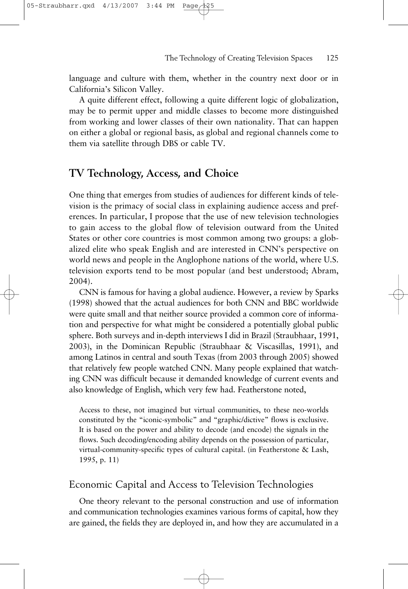language and culture with them, whether in the country next door or in California's Silicon Valley.

A quite different effect, following a quite different logic of globalization, may be to permit upper and middle classes to become more distinguished from working and lower classes of their own nationality. That can happen on either a global or regional basis, as global and regional channels come to them via satellite through DBS or cable TV.

## **TV Technology, Access, and Choice**

05-Straubharr.qxd 4/13/2007 3:44

One thing that emerges from studies of audiences for different kinds of television is the primacy of social class in explaining audience access and preferences. In particular, I propose that the use of new television technologies to gain access to the global flow of television outward from the United States or other core countries is most common among two groups: a globalized elite who speak English and are interested in CNN's perspective on world news and people in the Anglophone nations of the world, where U.S. television exports tend to be most popular (and best understood; Abram, 2004).

CNN is famous for having a global audience. However, a review by Sparks (1998) showed that the actual audiences for both CNN and BBC worldwide were quite small and that neither source provided a common core of information and perspective for what might be considered a potentially global public sphere. Both surveys and in-depth interviews I did in Brazil (Straubhaar, 1991, 2003), in the Dominican Republic (Straubhaar & Viscasillas, 1991), and among Latinos in central and south Texas (from 2003 through 2005) showed that relatively few people watched CNN. Many people explained that watching CNN was difficult because it demanded knowledge of current events and also knowledge of English, which very few had. Featherstone noted,

Access to these, not imagined but virtual communities, to these neo-worlds constituted by the "iconic-symbolic" and "graphic/dictive" flows is exclusive. It is based on the power and ability to decode (and encode) the signals in the flows. Such decoding/encoding ability depends on the possession of particular, virtual-community-specific types of cultural capital. (in Featherstone & Lash, 1995, p. 11)

### Economic Capital and Access to Television Technologies

One theory relevant to the personal construction and use of information and communication technologies examines various forms of capital, how they are gained, the fields they are deployed in, and how they are accumulated in a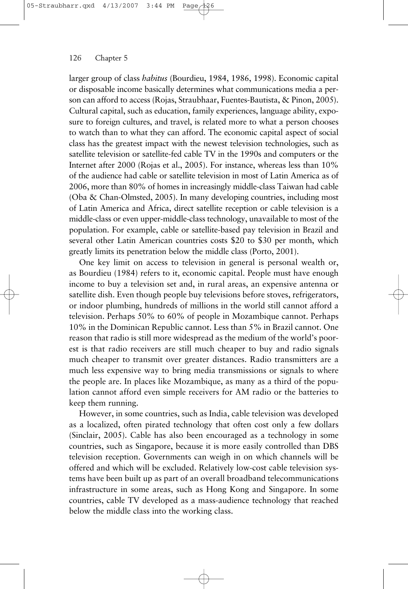larger group of class *habitus* (Bourdieu, 1984, 1986, 1998). Economic capital or disposable income basically determines what communications media a person can afford to access (Rojas, Straubhaar, Fuentes-Bautista, & Pinon, 2005). Cultural capital, such as education, family experiences, language ability, exposure to foreign cultures, and travel, is related more to what a person chooses to watch than to what they can afford. The economic capital aspect of social class has the greatest impact with the newest television technologies, such as satellite television or satellite-fed cable TV in the 1990s and computers or the Internet after 2000 (Rojas et al., 2005). For instance, whereas less than 10% of the audience had cable or satellite television in most of Latin America as of 2006, more than 80% of homes in increasingly middle-class Taiwan had cable (Oba & Chan-Olmsted, 2005). In many developing countries, including most of Latin America and Africa, direct satellite reception or cable television is a middle-class or even upper-middle-class technology, unavailable to most of the population. For example, cable or satellite-based pay television in Brazil and several other Latin American countries costs \$20 to \$30 per month, which greatly limits its penetration below the middle class (Porto, 2001).

One key limit on access to television in general is personal wealth or, as Bourdieu (1984) refers to it, economic capital. People must have enough income to buy a television set and, in rural areas, an expensive antenna or satellite dish. Even though people buy televisions before stoves, refrigerators, or indoor plumbing, hundreds of millions in the world still cannot afford a television. Perhaps 50% to 60% of people in Mozambique cannot. Perhaps 10% in the Dominican Republic cannot. Less than 5% in Brazil cannot. One reason that radio is still more widespread as the medium of the world's poorest is that radio receivers are still much cheaper to buy and radio signals much cheaper to transmit over greater distances. Radio transmitters are a much less expensive way to bring media transmissions or signals to where the people are. In places like Mozambique, as many as a third of the population cannot afford even simple receivers for AM radio or the batteries to keep them running.

However, in some countries, such as India, cable television was developed as a localized, often pirated technology that often cost only a few dollars (Sinclair, 2005). Cable has also been encouraged as a technology in some countries, such as Singapore, because it is more easily controlled than DBS television reception. Governments can weigh in on which channels will be offered and which will be excluded. Relatively low-cost cable television systems have been built up as part of an overall broadband telecommunications infrastructure in some areas, such as Hong Kong and Singapore. In some countries, cable TV developed as a mass-audience technology that reached below the middle class into the working class.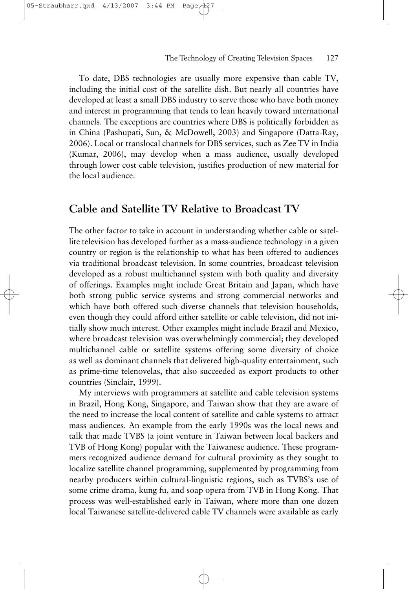To date, DBS technologies are usually more expensive than cable TV, including the initial cost of the satellite dish. But nearly all countries have developed at least a small DBS industry to serve those who have both money and interest in programming that tends to lean heavily toward international channels. The exceptions are countries where DBS is politically forbidden as in China (Pashupati, Sun, & McDowell, 2003) and Singapore (Datta-Ray, 2006). Local or translocal channels for DBS services, such as Zee TV in India (Kumar, 2006), may develop when a mass audience, usually developed through lower cost cable television, justifies production of new material for the local audience.

## **Cable and Satellite TV Relative to Broadcast TV**

4/13/2007

The other factor to take in account in understanding whether cable or satellite television has developed further as a mass-audience technology in a given country or region is the relationship to what has been offered to audiences via traditional broadcast television. In some countries, broadcast television developed as a robust multichannel system with both quality and diversity of offerings. Examples might include Great Britain and Japan, which have both strong public service systems and strong commercial networks and which have both offered such diverse channels that television households, even though they could afford either satellite or cable television, did not initially show much interest. Other examples might include Brazil and Mexico, where broadcast television was overwhelmingly commercial; they developed multichannel cable or satellite systems offering some diversity of choice as well as dominant channels that delivered high-quality entertainment, such as prime-time telenovelas, that also succeeded as export products to other countries (Sinclair, 1999).

My interviews with programmers at satellite and cable television systems in Brazil, Hong Kong, Singapore, and Taiwan show that they are aware of the need to increase the local content of satellite and cable systems to attract mass audiences. An example from the early 1990s was the local news and talk that made TVBS (a joint venture in Taiwan between local backers and TVB of Hong Kong) popular with the Taiwanese audience. These programmers recognized audience demand for cultural proximity as they sought to localize satellite channel programming, supplemented by programming from nearby producers within cultural-linguistic regions, such as TVBS's use of some crime drama, kung fu, and soap opera from TVB in Hong Kong. That process was well-established early in Taiwan, where more than one dozen local Taiwanese satellite-delivered cable TV channels were available as early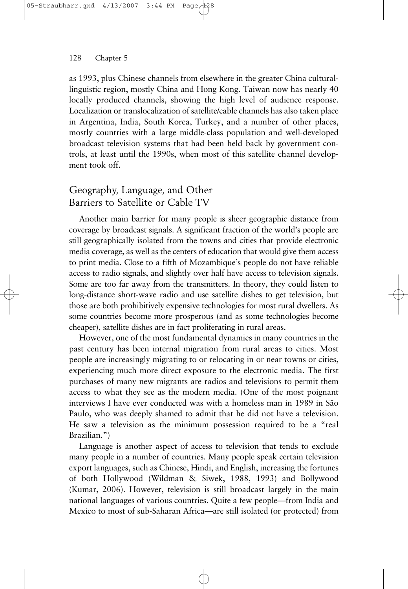as 1993, plus Chinese channels from elsewhere in the greater China culturallinguistic region, mostly China and Hong Kong. Taiwan now has nearly 40 locally produced channels, showing the high level of audience response. Localization or translocalization of satellite/cable channels has also taken place in Argentina, India, South Korea, Turkey, and a number of other places, mostly countries with a large middle-class population and well-developed broadcast television systems that had been held back by government controls, at least until the 1990s, when most of this satellite channel development took off.

## Geography, Language, and Other Barriers to Satellite or Cable TV

Another main barrier for many people is sheer geographic distance from coverage by broadcast signals. A significant fraction of the world's people are still geographically isolated from the towns and cities that provide electronic media coverage, as well as the centers of education that would give them access to print media. Close to a fifth of Mozambique's people do not have reliable access to radio signals, and slightly over half have access to television signals. Some are too far away from the transmitters. In theory, they could listen to long-distance short-wave radio and use satellite dishes to get television, but those are both prohibitively expensive technologies for most rural dwellers. As some countries become more prosperous (and as some technologies become cheaper), satellite dishes are in fact proliferating in rural areas.

However, one of the most fundamental dynamics in many countries in the past century has been internal migration from rural areas to cities. Most people are increasingly migrating to or relocating in or near towns or cities, experiencing much more direct exposure to the electronic media. The first purchases of many new migrants are radios and televisions to permit them access to what they see as the modern media. (One of the most poignant interviews I have ever conducted was with a homeless man in 1989 in São Paulo, who was deeply shamed to admit that he did not have a television. He saw a television as the minimum possession required to be a "real Brazilian.")

Language is another aspect of access to television that tends to exclude many people in a number of countries. Many people speak certain television export languages, such as Chinese, Hindi, and English, increasing the fortunes of both Hollywood (Wildman & Siwek, 1988, 1993) and Bollywood (Kumar, 2006). However, television is still broadcast largely in the main national languages of various countries. Quite a few people—from India and Mexico to most of sub-Saharan Africa—are still isolated (or protected) from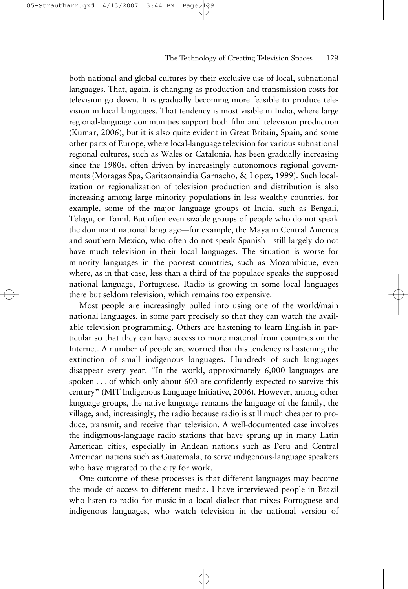#### The Technology of Creating Television Spaces 129

both national and global cultures by their exclusive use of local, subnational languages. That, again, is changing as production and transmission costs for television go down. It is gradually becoming more feasible to produce television in local languages. That tendency is most visible in India, where large regional-language communities support both film and television production (Kumar, 2006), but it is also quite evident in Great Britain, Spain, and some other parts of Europe, where local-language television for various subnational regional cultures, such as Wales or Catalonia, has been gradually increasing since the 1980s, often driven by increasingly autonomous regional governments (Moragas Spa, Garitaonaindia Garnacho, & Lopez, 1999). Such localization or regionalization of television production and distribution is also increasing among large minority populations in less wealthy countries, for example, some of the major language groups of India, such as Bengali, Telegu, or Tamil. But often even sizable groups of people who do not speak the dominant national language—for example, the Maya in Central America and southern Mexico, who often do not speak Spanish—still largely do not have much television in their local languages. The situation is worse for minority languages in the poorest countries, such as Mozambique, even where, as in that case, less than a third of the populace speaks the supposed national language, Portuguese. Radio is growing in some local languages there but seldom television, which remains too expensive.

05-Straubharr.qxd 4/13/2007 3:44 PM Page 129

Most people are increasingly pulled into using one of the world/main national languages, in some part precisely so that they can watch the available television programming. Others are hastening to learn English in particular so that they can have access to more material from countries on the Internet. A number of people are worried that this tendency is hastening the extinction of small indigenous languages. Hundreds of such languages disappear every year. "In the world, approximately 6,000 languages are spoken . . . of which only about 600 are confidently expected to survive this century" (MIT Indigenous Language Initiative, 2006). However, among other language groups, the native language remains the language of the family, the village, and, increasingly, the radio because radio is still much cheaper to produce, transmit, and receive than television. A well-documented case involves the indigenous-language radio stations that have sprung up in many Latin American cities, especially in Andean nations such as Peru and Central American nations such as Guatemala, to serve indigenous-language speakers who have migrated to the city for work.

One outcome of these processes is that different languages may become the mode of access to different media. I have interviewed people in Brazil who listen to radio for music in a local dialect that mixes Portuguese and indigenous languages, who watch television in the national version of